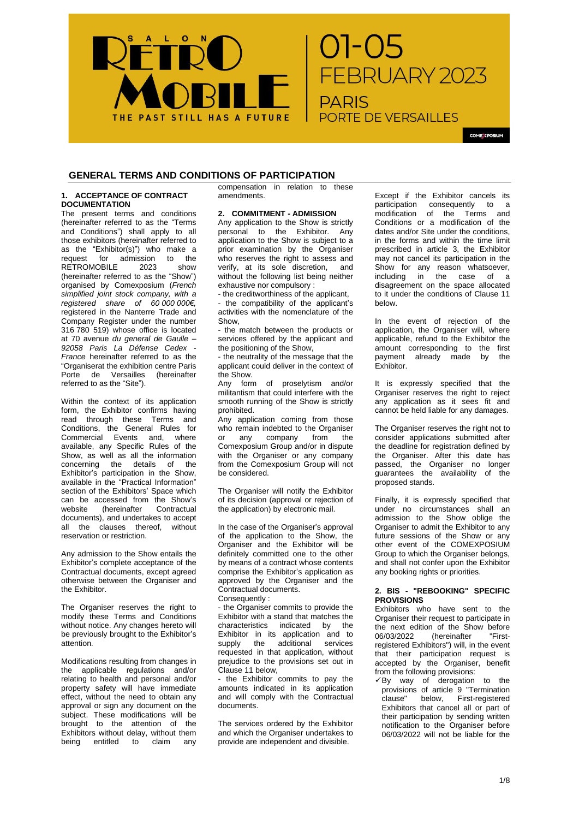

COME EPOSIUM

# **GENERAL TERMS AND CONDITIONS OF PARTICIPATION**

## **1. ACCEPTANCE OF CONTRACT DOCUMENTATION**

The present terms and conditions (hereinafter referred to as the "Terms and Conditions") shall apply to all those exhibitors (hereinafter referred to as the "Exhibitor(s)") who make a request for admission to the RETROMOBILE 2023 show (hereinafter referred to as the "Show") organised by Comexposium (*French simplified joint stock company, with a registered share of 60 000 000€,* registered in the Nanterre Trade and Company Register under the number 316 780 519) whose office is located at 70 avenue *du general de Gaulle – 92058 Paris La Défense Cedex - France* hereinafter referred to as the "Organiserat the exhibition centre Paris Porte de Versailles (hereinafter referred to as the "Site").

Within the context of its application form, the Exhibitor confirms having read through these Terms and Conditions, the General Rules for Commercial Events and, where available, any Specific Rules of the Show, as well as all the information concerning the details of the Exhibitor's participation in the Show, available in the "Practical Information" section of the Exhibitors' Space which can be accessed from the Show's<br>website (hereinafter Contractual  $(hereinafter$ documents), and undertakes to accept all the clauses thereof, without reservation or restriction.

Any admission to the Show entails the Exhibitor's complete acceptance of the Contractual documents, except agreed otherwise between the Organiser and the Exhibitor.

The Organiser reserves the right to modify these Terms and Conditions without notice. Any changes hereto will be previously brought to the Exhibitor's attention.

Modifications resulting from changes in the applicable regulations and/or relating to health and personal and/or property safety will have immediate effect, without the need to obtain any approval or sign any document on the subject. These modifications will be brought to the attention of the Exhibitors without delay, without them being entitled to claim any

compensation in relation to these amendments.

#### **2. COMMITMENT - ADMISSION**

Any application to the Show is strictly personal to the Exhibitor. Any application to the Show is subject to a prior examination by the Organiser who reserves the right to assess and verify, at its sole discretion, and without the following list being neither exhaustive nor compulsory :

- the creditworthiness of the applicant, - the compatibility of the applicant's activities with the nomenclature of the Show,

the match between the products or services offered by the applicant and the positioning of the Show,

- the neutrality of the message that the applicant could deliver in the context of the Show.

Any form of proselytism and/or militantism that could interfere with the smooth running of the Show is strictly prohibited.

Any application coming from those who remain indebted to the Organiser<br>or any company from the or any company from the Comexposium Group and/or in dispute with the Organiser or any company from the Comexposium Group will not be considered.

The Organiser will notify the Exhibitor of its decision (approval or rejection of the application) by electronic mail.

In the case of the Organiser's approval of the application to the Show, the Organiser and the Exhibitor will be definitely committed one to the other by means of a contract whose contents comprise the Exhibitor's application as approved by the Organiser and the Contractual documents. Consequently :

- the Organiser commits to provide the Exhibitor with a stand that matches the characteristics indicated by the Exhibitor in its application and to supply the additional services requested in that application, without prejudice to the provisions set out in Clause 11 below,

the Exhibitor commits to pay the amounts indicated in its application and will comply with the Contractual documents.

The services ordered by the Exhibitor and which the Organiser undertakes to provide are independent and divisible.

Except if the Exhibitor cancels its participation consequently to a modification of the Terms and Conditions or a modification of the dates and/or Site under the conditions, in the forms and within the time limit prescribed in article 3, the Exhibitor may not cancel its participation in the Show for any reason whatsoever, including in the case of a disagreement on the space allocated to it under the conditions of Clause 11 below.

In the event of rejection of the application, the Organiser will, where applicable, refund to the Exhibitor the amount corresponding to the first payment already made by the Exhibitor.

It is expressly specified that the Organiser reserves the right to reject any application as it sees fit and cannot be held liable for any damages.

The Organiser reserves the right not to consider applications submitted after the deadline for registration defined by the Organiser. After this date has passed, the Organiser no longer guarantees the availability of the proposed stands.

Finally, it is expressly specified that under no circumstances shall an admission to the Show oblige the Organiser to admit the Exhibitor to any future sessions of the Show or any other event of the COMEXPOSIUM Group to which the Organiser belongs, and shall not confer upon the Exhibitor any booking rights or priorities.

## **2. BIS - "REBOOKING" SPECIFIC PROVISIONS**

Exhibitors who have sent to the Organiser their request to participate in the next edition of the Show before<br>06/03/2022 (hereinafter "First-(hereinafter "Firstregistered Exhibitors") will, in the event that their participation request is accepted by the Organiser, benefit from the following provisions:

 $\checkmark$ By way of derogation to the provisions of article 9 "Termination clause" below, First-registered Exhibitors that cancel all or part of their participation by sending written notification to the Organiser before 06/03/2022 will not be liable for the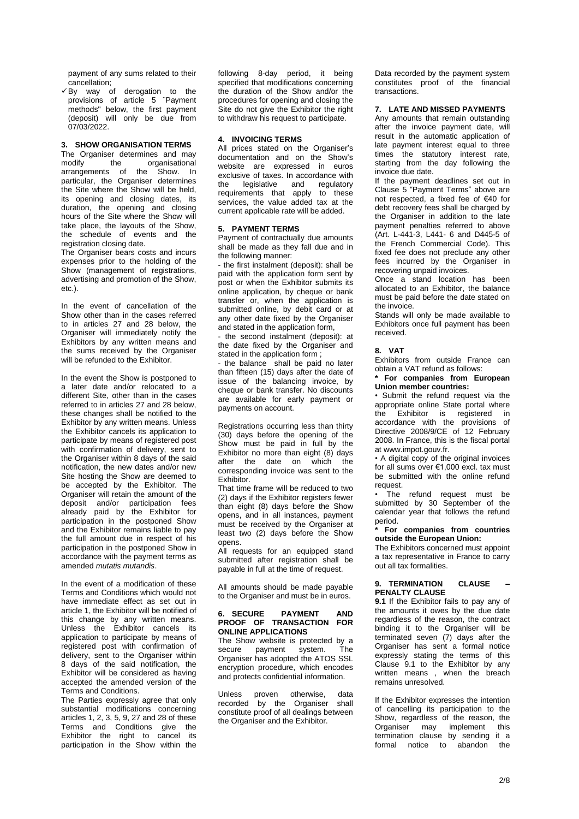payment of any sums related to their cancellation;

✓By way of derogation to the provisions of article 5 ¨Payment methods" below, the first payment (deposit) will only be due from  $07/03/2022$ .

## **3. SHOW ORGANISATION TERMS**

The Organiser determines and may<br>modify the organisational organisational arrangements of the Show. In particular, the Organiser determines the Site where the Show will be held, its opening and closing dates, its duration, the opening and closing hours of the Site where the Show will take place, the layouts of the Show, the schedule of events and the registration closing date.

The Organiser bears costs and incurs expenses prior to the holding of the Show (management of registrations, advertising and promotion of the Show, etc.).

In the event of cancellation of the Show other than in the cases referred to in articles 27 and 28 below, the Organiser will immediately notify the Exhibitors by any written means and the sums received by the Organiser will be refunded to the Exhibitor.

In the event the Show is postponed to a later date and/or relocated to a different Site, other than in the cases referred to in articles 27 and 28 below, these changes shall be notified to the Exhibitor by any written means. Unless the Exhibitor cancels its application to participate by means of registered post with confirmation of delivery, sent to the Organiser within 8 days of the said notification, the new dates and/or new Site hosting the Show are deemed to be accepted by the Exhibitor. The Organiser will retain the amount of the deposit and/or participation fees already paid by the Exhibitor for participation in the postponed Show and the Exhibitor remains liable to pay the full amount due in respect of his participation in the postponed Show in accordance with the payment terms as amended *mutatis mutandis*.

In the event of a modification of these Terms and Conditions which would not have immediate effect as set out in article 1, the Exhibitor will be notified of this change by any written means. Unless the Exhibitor cancels its application to participate by means of registered post with confirmation of delivery, sent to the Organiser within 8 days of the said notification, the Exhibitor will be considered as having accepted the amended version of the Terms and Conditions.

The Parties expressly agree that only substantial modifications concerning articles 1, 2, 3, 5, 9, 27 and 28 of these Terms and Conditions give the Exhibitor the right to cancel its participation in the Show within the

following 8-day period, it being specified that modifications concerning the duration of the Show and/or the procedures for opening and closing the Site do not give the Exhibitor the right to withdraw his request to participate.

## **4. INVOICING TERMS**

All prices stated on the Organiser's documentation and on the Show's website are expressed in euros exclusive of taxes. In accordance with the legislative and regulatory requirements that apply to these services, the value added tax at the current applicable rate will be added.

## **5. PAYMENT TERMS**

Payment of contractually due amounts shall be made as they fall due and in the following manner:

- the first instalment (deposit): shall be paid with the application form sent by post or when the Exhibitor submits its online application, by cheque or bank transfer or, when the application is submitted online, by debit card or at any other date fixed by the Organiser and stated in the application form,

- the second instalment (deposit): at the date fixed by the Organiser and stated in the application form ;

- the balance shall be paid no later than fifteen (15) days after the date of issue of the balancing invoice, by cheque or bank transfer. No discounts are available for early payment or payments on account.

Registrations occurring less than thirty (30) days before the opening of the Show must be paid in full by the Exhibitor no more than eight (8) days after the date on which the corresponding invoice was sent to the Exhibitor.

That time frame will be reduced to two (2) days if the Exhibitor registers fewer than eight (8) days before the Show opens, and in all instances, payment must be received by the Organiser at least two (2) days before the Show opens.

All requests for an equipped stand submitted after registration shall be payable in full at the time of request.

All amounts should be made payable to the Organiser and must be in euros.

#### **6. SECURE PAYMENT AND PROOF OF TRANSACTION FOR ONLINE APPLICATIONS**

The Show website is protected by a secure payment system. The Organiser has adopted the ATOS SSL encryption procedure, which encodes and protects confidential information.

Unless proven otherwise, data recorded by the Organiser shall constitute proof of all dealings between the Organiser and the Exhibitor.

Data recorded by the payment system constitutes proof of the financial transactions.

## **7. LATE AND MISSED PAYMENTS**

Any amounts that remain outstanding after the invoice payment date, will result in the automatic application of late payment interest equal to three times the statutory interest rate, starting from the day following the invoice due date.

If the payment deadlines set out in Clause 5 "Payment Terms" above are not respected, a fixed fee of €40 for debt recovery fees shall be charged by the Organiser in addition to the late payment penalties referred to above (Art. L-441-3, L441- 6 and D445-5 of the French Commercial Code). This fixed fee does not preclude any other fees incurred by the Organiser in recovering unpaid invoices.

Once a stand location has been allocated to an Exhibitor, the balance must be paid before the date stated on the invoice.

Stands will only be made available to Exhibitors once full payment has been received.

## **8. VAT**

Exhibitors from outside France can obtain a VAT refund as follows:

## **\* For companies from European Union member countries:**

• Submit the refund request via the appropriate online State portal where the Exhibitor is registered in accordance with the provisions of Directive 2008/9/CE of 12 February 2008. In France, this is the fiscal portal at www.impot.gouv.fr.

• A digital copy of the original invoices for all sums over €1,000 excl. tax must be submitted with the online refund request.

• The refund request must be submitted by 30 September of the calendar year that follows the refund period.

#### **\* For companies from countries outside the European Union:**

The Exhibitors concerned must appoint a tax representative in France to carry out all tax formalities.

#### **9. TERMINATION CLAUSE – PENALTY CLAUSE**

**9.1** If the Exhibitor fails to pay any of the amounts it owes by the due date regardless of the reason, the contract binding it to the Organiser will be terminated seven (7) days after the Organiser has sent a formal notice expressly stating the terms of this Clause 9.1 to the Exhibitor by any written means , when the breach remains unresolved.

If the Exhibitor expresses the intention of cancelling its participation to the Show, regardless of the reason, the<br>Organiser may implement this Organiser may implement termination clause by sending it a formal notice to abandon the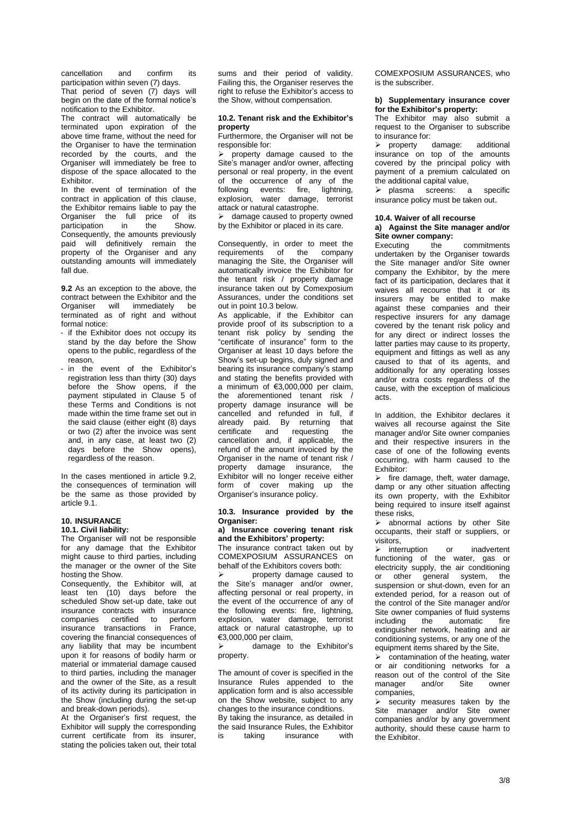cancellation and confirm its participation within seven (7) days. That period of seven  $(7)$  days will begin on the date of the formal notice's notification to the Exhibitor.

The contract will automatically be terminated upon expiration of the above time frame, without the need for the Organiser to have the termination recorded by the courts, and the Organiser will immediately be free to dispose of the space allocated to the Exhibitor.

In the event of termination of the contract in application of this clause, the Exhibitor remains liable to pay the Organiser the full price of its<br>participation in the Show. participation in the Consequently, the amounts previously paid will definitively remain the property of the Organiser and any outstanding amounts will immediately fall due.

**9.2** As an exception to the above, the contract between the Exhibitor and the Organiser will immediately be terminated as of right and without formal notice:

- if the Exhibitor does not occupy its stand by the day before the Show opens to the public, regardless of the reason,
- in the event of the Exhibitor's registration less than thirty (30) days before the Show opens, if the payment stipulated in Clause 5 of these Terms and Conditions is not made within the time frame set out in the said clause (either eight (8) days or two (2) after the invoice was sent and, in any case, at least two (2) days before the Show opens), regardless of the reason.

In the cases mentioned in article 9.2 the consequences of termination will be the same as those provided by article 9.1.

#### **10. INSURANCE 10.1. Civil liability:**

The Organiser will not be responsible for any damage that the Exhibitor might cause to third parties, including the manager or the owner of the Site hosting the Show.

Consequently, the Exhibitor will, at least ten (10) days before the scheduled Show set-up date, take out insurance contracts with insurance companies certified to perform insurance transactions in France, covering the financial consequences of any liability that may be incumbent upon it for reasons of bodily harm or material or immaterial damage caused to third parties, including the manager and the owner of the Site, as a result of its activity during its participation in the Show (including during the set-up and break-down periods).

At the Organiser's first request, the Exhibitor will supply the corresponding current certificate from its insurer, stating the policies taken out, their total

sums and their period of validity. Failing this, the Organiser reserves the right to refuse the Exhibitor's access to the Show, without compensation.

## **10.2. Tenant risk and the Exhibitor's property**

Furthermore, the Organiser will not be responsible for:

➢ property damage caused to the Site's manager and/or owner, affecting personal or real property, in the event of the occurrence of any of the following events: fire, lightning, explosion, water damage, terrorist attack or natural catastrophe.

➢ damage caused to property owned by the Exhibitor or placed in its care.

Consequently, in order to meet the<br>requirements of the company of the company managing the Site, the Organiser will automatically invoice the Exhibitor for the tenant risk / property damage insurance taken out by Comexposium Assurances, under the conditions set out in point 10.3 below.

As applicable, if the Exhibitor can provide proof of its subscription to a tenant risk policy by sending the "certificate of insurance" form to the Organiser at least 10 days before the Show's set-up begins, duly signed and bearing its insurance company's stamp and stating the benefits provided with a minimum of €3,000,000 per claim, the aforementioned tenant risk / property damage insurance will be cancelled and refunded in full, if already paid. By returning that<br>certificate and requesting the certificate and cancellation and, if applicable, the refund of the amount invoiced by the Organiser in the name of tenant risk / property damage insurance, the Exhibitor will no longer receive either form of cover making up the Organiser's insurance policy.

#### **10.3. Insurance provided by the Organiser:**

## **a) Insurance covering tenant risk and the Exhibitors' property:**

The insurance contract taken out by COMEXPOSIUM ASSURANCES on behalf of the Exhibitors covers both:

property damage caused to the Site's manager and/or owner, affecting personal or real property, in the event of the occurrence of any of the following events: fire, lightning, explosion, water damage, terrorist attack or natural catastrophe, up to €3,000,000 per claim,

➢ damage to the Exhibitor's property.

The amount of cover is specified in the Insurance Rules appended to the application form and is also accessible on the Show website, subject to any changes to the insurance conditions. By taking the insurance, as detailed in the said Insurance Rules, the Exhibitor is taking insurance with

COMEXPOSIUM ASSURANCES, who is the subscriber.

#### **b) Supplementary insurance cover for the Exhibitor's property:**

The Exhibitor may also submit a request to the Organiser to subscribe to insurance for:

➢ property damage: additional insurance on top of the amounts covered by the principal policy with payment of a premium calculated on the additional capital value,

➢ plasma screens: a specific insurance policy must be taken out.

# **10.4. Waiver of all recourse a) Against the Site manager and/or**

**Site owner company:**

Executing the commitments undertaken by the Organiser towards the Site manager and/or Site owner company the Exhibitor, by the mere fact of its participation, declares that it waives all recourse that it or its insurers may be entitled to make against these companies and their respective insurers for any damage covered by the tenant risk policy and for any direct or indirect losses the latter parties may cause to its property, equipment and fittings as well as any caused to that of its agents, and additionally for any operating losses and/or extra costs regardless of the cause, with the exception of malicious acts.

In addition, the Exhibitor declares it waives all recourse against the Site manager and/or Site owner companies and their respective insurers in the case of one of the following events occurring, with harm caused to the Exhibitor:

 $\triangleright$  fire damage, theft, water damage, damp or any other situation affecting its own property, with the Exhibitor being required to insure itself against these risks,

➢ abnormal actions by other Site occupants, their staff or suppliers, or visitors,

➢ interruption or inadvertent functioning of the water, gas or electricity supply, the air conditioning or other general system, the suspension or shut-down, even for an extended period, for a reason out of the control of the Site manager and/or Site owner companies of fluid systems including the automatic fire extinguisher network, heating and air conditioning systems, or any one of the equipment items shared by the Site,

 $\triangleright$  contamination of the heating, water or air conditioning networks for a reason out of the control of the Site<br>manager and/or Site owner manager companies,

➢ security measures taken by the Site manager and/or Site owner companies and/or by any government authority, should these cause harm to the Exhibitor.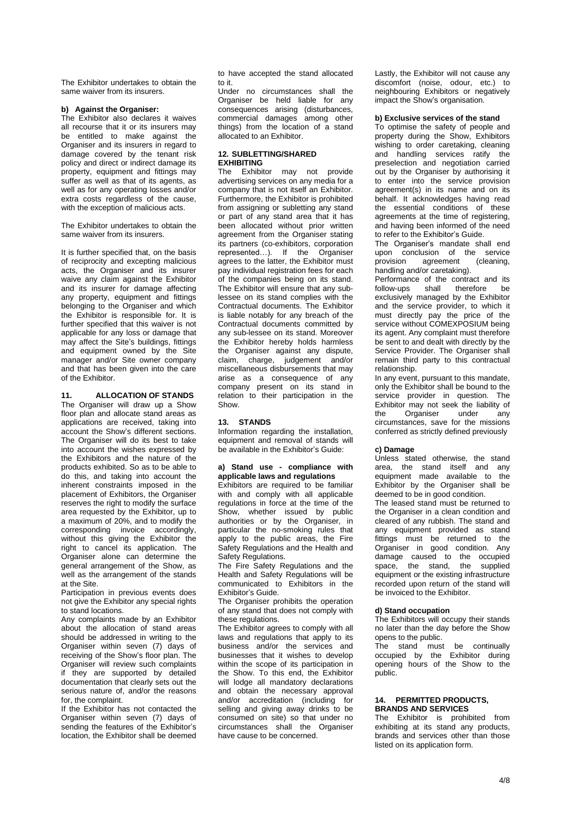The Exhibitor undertakes to obtain the same waiver from its insurers.

#### **b) Against the Organiser:**

The Exhibitor also declares it waives all recourse that it or its insurers may be entitled to make against the Organiser and its insurers in regard to damage covered by the tenant risk policy and direct or indirect damage its property, equipment and fittings may suffer as well as that of its agents, as well as for any operating losses and/or extra costs regardless of the cause, with the exception of malicious acts.

The Exhibitor undertakes to obtain the same waiver from its insurers.

It is further specified that, on the basis of reciprocity and excepting malicious acts, the Organiser and its insurer waive any claim against the Exhibitor and its insurer for damage affecting any property, equipment and fittings belonging to the Organiser and which the Exhibitor is responsible for. It is further specified that this waiver is not applicable for any loss or damage that may affect the Site's buildings, fittings and equipment owned by the Site manager and/or Site owner company and that has been given into the care of the Exhibitor.

#### **11. ALLOCATION OF STANDS**

The Organiser will draw up a Show floor plan and allocate stand areas as applications are received, taking into account the Show's different sections. The Organiser will do its best to take into account the wishes expressed by the Exhibitors and the nature of the products exhibited. So as to be able to do this, and taking into account the inherent constraints imposed in the placement of Exhibitors, the Organiser reserves the right to modify the surface area requested by the Exhibitor, up to a maximum of 20%, and to modify the corresponding invoice accordingly, without this giving the Exhibitor the right to cancel its application. The Organiser alone can determine the general arrangement of the Show, as well as the arrangement of the stands at the Site.

Participation in previous events does not give the Exhibitor any special rights to stand locations.

Any complaints made by an Exhibitor about the allocation of stand areas should be addressed in writing to the Organiser within seven (7) days of receiving of the Show's floor plan. The Organiser will review such complaints if they are supported by detailed documentation that clearly sets out the serious nature of, and/or the reasons for, the complaint

If the Exhibitor has not contacted the Organiser within seven (7) days of sending the features of the Exhibitor's location, the Exhibitor shall be deemed to have accepted the stand allocated to it.

Under no circumstances shall the Organiser be held liable for any consequences arising (disturbances, commercial damages among other things) from the location of a stand allocated to an Exhibitor.

# **12. SUBLETTING/SHARED EXHIBITING**<br>The Exhibitor

may not provide advertising services on any media for a company that is not itself an Exhibitor. Furthermore, the Exhibitor is prohibited from assigning or subletting any stand or part of any stand area that it has been allocated without prior written agreement from the Organiser stating its partners (co-exhibitors, corporation represented…). If the Organiser agrees to the latter, the Exhibitor must pay individual registration fees for each of the companies being on its stand. The Exhibitor will ensure that any sublessee on its stand complies with the Contractual documents. The Exhibitor is liable notably for any breach of the Contractual documents committed by any sub-lessee on its stand. Moreover the Exhibitor hereby holds harmless the Organiser against any dispute, claim, charge, judgement and/or miscellaneous disbursements that may arise as a consequence of any company present on its stand in relation to their participation in the Show.

## **13. STANDS**

Information regarding the installation, equipment and removal of stands will be available in the Exhibitor's Guide:

#### **a) Stand use - compliance with applicable laws and regulations**

Exhibitors are required to be familiar with and comply with all applicable regulations in force at the time of the Show, whether issued by public authorities or by the Organiser, in particular the no-smoking rules that apply to the public areas, the Fire Safety Regulations and the Health and Safety Regulations.

The Fire Safety Regulations and the Health and Safety Regulations will be communicated to Exhibitors in the Exhibitor's Guide.

The Organiser prohibits the operation of any stand that does not comply with these regulations.

The Exhibitor agrees to comply with all laws and regulations that apply to its business and/or the services and businesses that it wishes to develop within the scope of its participation in the Show. To this end, the Exhibitor will lodge all mandatory declarations and obtain the necessary approval and/or accreditation (including for selling and giving away drinks to be consumed on site) so that under no circumstances shall the Organiser have cause to be concerned.

Lastly, the Exhibitor will not cause any discomfort (noise, odour, etc.) to neighbouring Exhibitors or negatively impact the Show's organisation.

## **b) Exclusive services of the stand**

To optimise the safety of people and property during the Show, Exhibitors wishing to order caretaking, cleaning and handling services ratify the preselection and negotiation carried out by the Organiser by authorising it to enter into the service provision agreement(s) in its name and on its behalf. It acknowledges having read the essential conditions of these agreements at the time of registering, and having been informed of the need to refer to the Exhibitor's Guide.

The Organiser's mandate shall end upon conclusion of the service<br>provision agreement (cleaning, agreement handling and/or caretaking).

Performance of the contract and its follow-ups shall therefore be exclusively managed by the Exhibitor and the service provider, to which it must directly pay the price of the service without COMEXPOSIUM being its agent. Any complaint must therefore be sent to and dealt with directly by the Service Provider. The Organiser shall remain third party to this contractual relationship.

In any event, pursuant to this mandate, only the Exhibitor shall be bound to the service provider in question. The Exhibitor may not seek the liability of the Organiser under any circumstances, save for the missions conferred as strictly defined previously

#### **c) Damage**

Unless stated otherwise, the stand area, the stand itself and any equipment made available to the Exhibitor by the Organiser shall be deemed to be in good condition.

The leased stand must be returned to the Organiser in a clean condition and cleared of any rubbish. The stand and any equipment provided as stand fittings must be returned to the Organiser in good condition. Any damage caused to the occupied space, the stand, the supplied equipment or the existing infrastructure recorded upon return of the stand will be invoiced to the Exhibitor.

#### **d) Stand occupation**

The Exhibitors will occupy their stands no later than the day before the Show opens to the public.

The stand must be continually occupied by the Exhibitor during opening hours of the Show to the public.

#### **14. PERMITTED PRODUCTS, BRANDS AND SERVICES**

The Exhibitor is prohibited from exhibiting at its stand any products, brands and services other than those listed on its application form.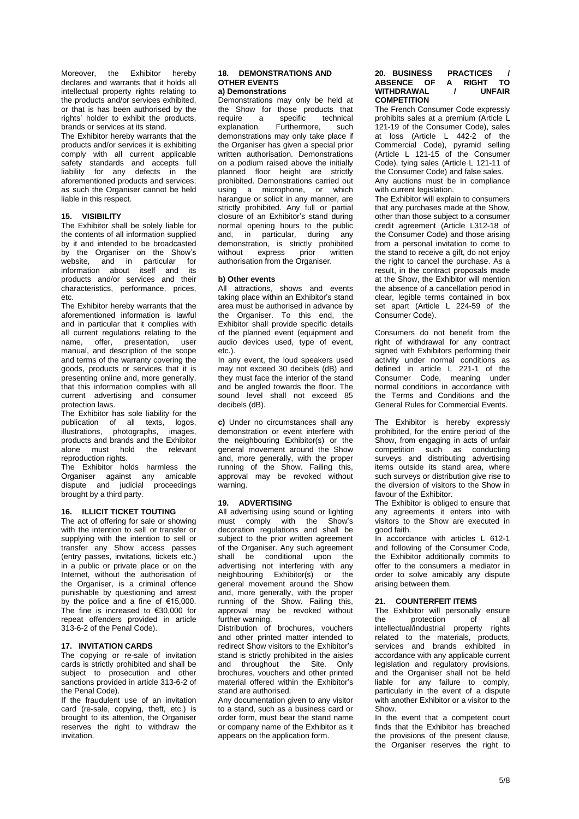Moreover, the Exhibitor hereby declares and warrants that it holds all intellectual property rights relating to the products and/or services exhibited, or that is has been authorised by the rights' holder to exhibit the products brands or services at its stand.

The Exhibitor hereby warrants that the products and/or services it is exhibiting comply with all current applicable safety standards and accepts full liability for any defects in the aforementioned products and services; as such the Organiser cannot be held liable in this respect.

## **15. VISIBILITY**

The Exhibitor shall be solely liable for the contents of all information supplied by it and intended to be broadcasted by the Organiser on the Show's website, and in particular for information about itself and its products and/or services and their characteristics, performance, prices, etc.

The Exhibitor hereby warrants that the aforementioned information is lawful and in particular that it complies with all current regulations relating to the name, offer, presentation, user manual, and description of the scope and terms of the warranty covering the goods, products or services that it is presenting online and, more generally, that this information complies with all current advertising and consumer protection laws.

The Exhibitor has sole liability for the publication of all texts, logos,<br>illustrations, photographs, images, photographs, products and brands and the Exhibitor alone must hold the relevant reproduction rights.

The Exhibitor holds harmless the Organiser against any amicable dispute and judicial proceedings brought by a third party.

## **16. ILLICIT TICKET TOUTING**

The act of offering for sale or showing with the intention to sell or transfer or supplying with the intention to sell or transfer any Show access passes (entry passes, invitations, tickets etc.) in a public or private place or on the Internet, without the authorisation of the Organiser, is a criminal offence punishable by questioning and arrest by the police and a fine of €15,000. The fine is increased to €30,000 for repeat offenders provided in article 313-6-2 of the Penal Code).

#### **17. INVITATION CARDS**

The copying or re-sale of invitation cards is strictly prohibited and shall be subject to prosecution and other sanctions provided in article 313-6-2 of the Penal Code).

If the fraudulent use of an invitation card (re-sale, copying, theft, etc.) is brought to its attention, the Organiser reserves the right to withdraw the invitation.

#### **18. DEMONSTRATIONS AND OTHER EVENTS a) Demonstrations**

Demonstrations may only be held at the Show for those products that<br>require a specific technical specific technical explanation. Furthermore, such demonstrations may only take place if the Organiser has given a special prior written authorisation. Demonstrations on a podium raised above the initially planned floor height are strictly prohibited. Demonstrations carried out using a microphone, or which harangue or solicit in any manner, are strictly prohibited. Any full or partial closure of an Exhibitor's stand during normal opening hours to the public and, in particular, during any demonstration, is strictly prohibited without express prior written authorisation from the Organiser.

#### **b) Other events**

All attractions, shows and events taking place within an Exhibitor's stand area must be authorised in advance by the Organiser. To this end, the Exhibitor shall provide specific details of the planned event (equipment and audio devices used, type of event, etc.).

In any event, the loud speakers used may not exceed 30 decibels (dB) and they must face the interior of the stand and be angled towards the floor. The sound level shall not exceed 85 decibels (dB).

**c)** Under no circumstances shall any demonstration or event interfere with the neighbouring Exhibitor(s) or the general movement around the Show and, more generally, with the proper running of the Show. Failing this, approval may be revoked without warning.

#### **19. ADVERTISING**

All advertising using sound or lighting must comply with the Show's decoration regulations and shall be subject to the prior written agreement of the Organiser. Any such agreement shall be conditional upon the advertising not interfering with any neighbouring Exhibitor(s) or the general movement around the Show and, more generally, with the proper running of the Show. Failing this, approval may be revoked without further warning.

Distribution of brochures, vouchers and other printed matter intended to redirect Show visitors to the Exhibitor's stand is strictly prohibited in the aisles and throughout the Site. Only brochures, vouchers and other printed material offered within the Exhibitor's stand are authorised.

Any documentation given to any visitor to a stand, such as a business card or order form, must bear the stand name or company name of the Exhibitor as it appears on the application form.

#### **20. BUSINESS PRACTICES / ABSENCE OF A RIGHT TO WITHDRAWAL / UNFAIR COMPETITION**

The French Consumer Code expressly prohibits sales at a premium (Article L 121-19 of the Consumer Code), sales at loss (Article L 442-2 of the Commercial Code), pyramid selling (Article L 121-15 of the Consumer Code), tying sales (Article L 121-11 of the Consumer Code) and false sales. Any auctions must be in compliance

with current legislation.

The Exhibitor will explain to consumers that any purchases made at the Show, other than those subject to a consumer credit agreement (Article L312-18 of the Consumer Code) and those arising from a personal invitation to come to the stand to receive a gift, do not enjoy the right to cancel the purchase. As a result, in the contract proposals made at the Show, the Exhibitor will mention the absence of a cancellation period in clear, legible terms contained in box set apart (Article L 224-59 of the Consumer Code).

Consumers do not benefit from the right of withdrawal for any contract signed with Exhibitors performing their activity under normal conditions as defined in article L 221-1 of the Consumer Code, meaning under normal conditions in accordance with the Terms and Conditions and the General Rules for Commercial Events.

The Exhibitor is hereby expressly prohibited, for the entire period of the Show, from engaging in acts of unfair competition such as conducting surveys and distributing advertising items outside its stand area, where such surveys or distribution give rise to the diversion of visitors to the Show in favour of the Exhibitor.

The Exhibitor is obliged to ensure that any agreements it enters into with visitors to the Show are executed in good faith.

In accordance with articles L 612-1 and following of the Consumer Code, the Exhibitor additionally commits to offer to the consumers a mediator in order to solve amicably any dispute arising between them.

## **21. COUNTERFEIT ITEMS**

The Exhibitor will personally ensure the protection of all intellectual/industrial property rights related to the materials, products, services and brands exhibited in accordance with any applicable current legislation and regulatory provisions, and the Organiser shall not be held liable for any failure to comply, particularly in the event of a dispute with another Exhibitor or a visitor to the Show.

In the event that a competent court finds that the Exhibitor has breached the provisions of the present clause, the Organiser reserves the right to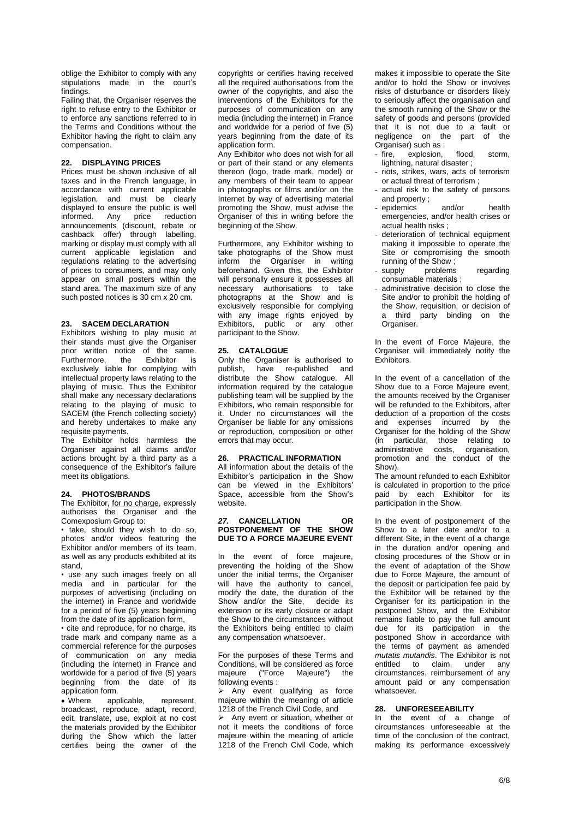oblige the Exhibitor to comply with any stipulations made in the court's findings.

Failing that, the Organiser reserves the right to refuse entry to the Exhibitor or to enforce any sanctions referred to in the Terms and Conditions without the Exhibitor having the right to claim any compensation.

#### **22. DISPLAYING PRICES**

Prices must be shown inclusive of all taxes and in the French language, in accordance with current applicable legislation, and must be clearly displayed to ensure the public is well informed. Any price reduction announcements (discount, rebate or cashback offer) through labelling, marking or display must comply with all current applicable legislation and regulations relating to the advertising of prices to consumers, and may only appear on small posters within the stand area. The maximum size of any such posted notices is 30 cm x 20 cm.

## **23. SACEM DECLARATION**

Exhibitors wishing to play music at their stands must give the Organiser prior written notice of the same.<br>Furthermore, the Exhibitor is Furthermore, the Exhibitor is exclusively liable for complying with intellectual property laws relating to the playing of music. Thus the Exhibitor shall make any necessary declarations relating to the playing of music to SACEM (the French collecting society) and hereby undertakes to make any requisite payments.

The Exhibitor holds harmless the Organiser against all claims and/or actions brought by a third party as a consequence of the Exhibitor's failure meet its obligations.

#### **24. PHOTOS/BRANDS**

The Exhibitor, for no charge, expressly authorises the Organiser and the Comexposium Group to:

• take, should they wish to do so, photos and/or videos featuring the Exhibitor and/or members of its team, as well as any products exhibited at its stand,

• use any such images freely on all media and in particular for the purposes of advertising (including on the internet) in France and worldwide for a period of five (5) years beginning from the date of its application form,

• cite and reproduce, for no charge, its trade mark and company name as a commercial reference for the purposes of communication on any media (including the internet) in France and worldwide for a period of five (5) years beginning from the date of its application form.

applicable, represent, broadcast, reproduce, adapt, record, edit, translate, use, exploit at no cost the materials provided by the Exhibitor during the Show which the latter certifies being the owner of the

copyrights or certifies having received all the required authorisations from the owner of the copyrights, and also the interventions of the Exhibitors for the purposes of communication on any media (including the internet) in France and worldwide for a period of five (5) years beginning from the date of its application form.

Any Exhibitor who does not wish for all or part of their stand or any elements thereon (logo, trade mark, model) or any members of their team to appear in photographs or films and/or on the Internet by way of advertising material promoting the Show, must advise the Organiser of this in writing before the beginning of the Show.

Furthermore, any Exhibitor wishing to take photographs of the Show must inform the Organiser in writing beforehand. Given this, the Exhibitor will personally ensure it possesses all necessary authorisations to take photographs at the Show and is exclusively responsible for complying with any image rights enjoyed by Exhibitors, public or any other participant to the Show.

## **25. CATALOGUE**

Only the Organiser is authorised to publish, have re-published and distribute the Show catalogue. All information required by the catalogue publishing team will be supplied by the Exhibitors, who remain responsible for it. Under no circumstances will the Organiser be liable for any omissions or reproduction, composition or other errors that may occur.

#### **26. PRACTICAL INFORMATION**

All information about the details of the Exhibitor's participation in the Show can be viewed in the Exhibitors' Space, accessible from the Show's website.

#### *27.* **CANCELLATION OR POSTPONEMENT OF THE SHOW DUE TO A FORCE MAJEURE EVENT**

In the event of force majeure, preventing the holding of the Show under the initial terms, the Organiser will have the authority to cancel, modify the date, the duration of the Show and/or the Site, decide its extension or its early closure or adapt the Show to the circumstances without the Exhibitors being entitled to claim any compensation whatsoever.

For the purposes of these Terms and Conditions, will be considered as force majeure ("Force Majeure") the following events :

➢ Any event qualifying as force majeure within the meaning of article 1218 of the French Civil Code, and

➢ Any event or situation, whether or not it meets the conditions of force majeure within the meaning of article 1218 of the French Civil Code, which

makes it impossible to operate the Site and/or to hold the Show or involves risks of disturbance or disorders likely to seriously affect the organisation and the smooth running of the Show or the safety of goods and persons (provided that it is not due to a fault or negligence on the part of the Organiser) such as :

- fire, explosion, flood, storm, lightning, natural disaster ;
- riots, strikes, wars, acts of terrorism or actual threat of terrorism ;
- actual risk to the safety of persons and property ;
- epidemics and/or health emergencies, and/or health crises or actual health risks ;
- deterioration of technical equipment making it impossible to operate the Site or compromising the smooth
- running of the Show;<br>supply problems problems regarding consumable materials ;
- administrative decision to close the Site and/or to prohibit the holding of the Show, requisition, or decision of a third party binding on the Organiser.

In the event of Force Majeure, the Organiser will immediately notify the **Exhibitors** 

In the event of a cancellation of the Show due to a Force Majeure event, the amounts received by the Organiser will be refunded to the Exhibitors, after deduction of a proportion of the costs and expenses incurred by the Organiser for the holding of the Show (in particular, those relating to administrative costs, organisation, promotion and the conduct of the Show).

The amount refunded to each Exhibitor is calculated in proportion to the price paid by each Exhibitor for its participation in the Show.

In the event of postponement of the Show to a later date and/or to a different Site, in the event of a change in the duration and/or opening and closing procedures of the Show or in the event of adaptation of the Show due to Force Majeure, the amount of the deposit or participation fee paid by the Exhibitor will be retained by the Organiser for its participation in the postponed Show, and the Exhibitor remains liable to pay the full amount due for its participation in the postponed Show in accordance with the terms of payment as amended *mutatis mutandis*. The Exhibitor is not entitled to claim, under any circumstances, reimbursement of any amount paid or any compensation whatsoever.

## **28. UNFORESEEABILITY**

In the event of a change of circumstances unforeseeable at the time of the conclusion of the contract, making its performance excessively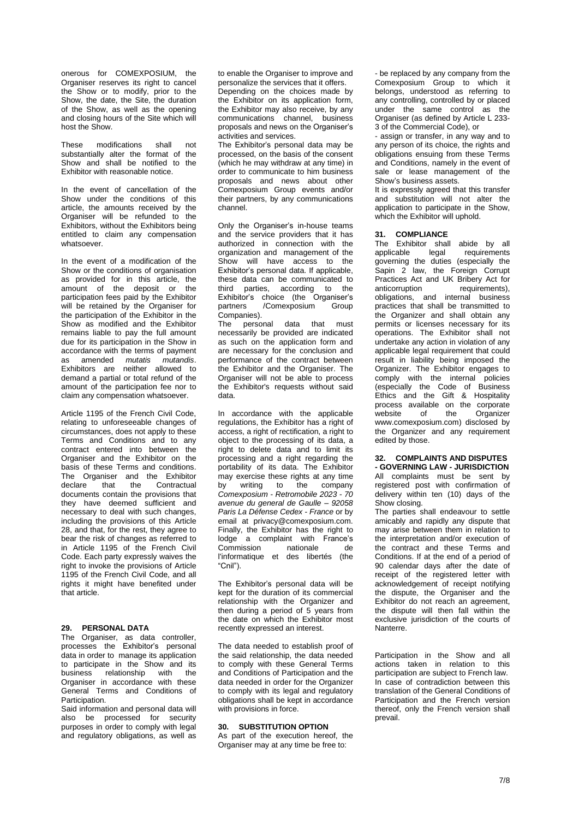onerous for COMEXPOSIUM, the Organiser reserves its right to cancel the Show or to modify, prior to the Show, the date, the Site, the duration of the Show, as well as the opening and closing hours of the Site which will host the Show.

These modifications shall not substantially alter the format of the Show and shall be notified to the Exhibitor with reasonable notice.

In the event of cancellation of the Show under the conditions of this article, the amounts received by the Organiser will be refunded to the Exhibitors, without the Exhibitors being entitled to claim any compensation whatsoever.

In the event of a modification of the Show or the conditions of organisation as provided for in this article, the amount of the deposit or the participation fees paid by the Exhibitor will be retained by the Organiser for the participation of the Exhibitor in the Show as modified and the Exhibitor remains liable to pay the full amount due for its participation in the Show in accordance with the terms of payment as amended *mutatis mutandis*. Exhibitors are neither allowed to demand a partial or total refund of the amount of the participation fee nor to claim any compensation whatsoever.

Article 1195 of the French Civil Code, relating to unforeseeable changes of circumstances, does not apply to these Terms and Conditions and to any contract entered into between the Organiser and the Exhibitor on the basis of these Terms and conditions. The Organiser and the Exhibitor declare that the Contractual documents contain the provisions that they have deemed sufficient and necessary to deal with such changes, including the provisions of this Article 28, and that, for the rest, they agree to bear the risk of changes as referred to in Article 1195 of the French Civil Code. Each party expressly waives the right to invoke the provisions of Article 1195 of the French Civil Code, and all rights it might have benefited under that article.

## **29. PERSONAL DATA**

The Organiser, as data controller, processes the Exhibitor's personal data in order to manage its application to participate in the Show and its business relationship with the Organiser in accordance with these General Terms and Conditions of Participation.

Said information and personal data will also be processed for security purposes in order to comply with legal and regulatory obligations, as well as

to enable the Organiser to improve and personalize the services that it offers. Depending on the choices made by the Exhibitor on its application form, the Exhibitor may also receive, by any communications channel, business proposals and news on the Organiser's activities and services.

The Exhibitor's personal data may be processed, on the basis of the consent (which he may withdraw at any time) in order to communicate to him business proposals and news about other Comexposium Group events and/or their partners, by any communications channel.

Only the Organiser's in-house teams and the service providers that it has authorized in connection with the organization and management of the Show will have access to the Exhibitor's personal data. If applicable, these data can be communicated to third parties, according to the Exhibitor's choice (the Organiser's partners / Comexposium Group Companies).<br>The personal

data that must necessarily be provided are indicated as such on the application form and are necessary for the conclusion and performance of the contract between the Exhibitor and the Organiser. The Organiser will not be able to process the Exhibitor's requests without said data.

In accordance with the applicable regulations, the Exhibitor has a right of access, a right of rectification, a right to object to the processing of its data, a right to delete data and to limit its processing and a right regarding the portability of its data. The Exhibitor may exercise these rights at any time by writing to the company *Comexposium - Retromobile 2023 - 70 avenue du general de Gaulle – 92058 Paris La Défense Cedex - France* or by email at privacy@comexposium.com. Finally, the Exhibitor has the right to lodge a complaint with France's<br>Commission nationale de Commission nationale de l'informatique et des libertés (the "Cnil").

The Exhibitor's personal data will be kept for the duration of its commercial relationship with the Organizer and then during a period of  $5$  years from the date on which the Exhibitor most recently expressed an interest.

The data needed to establish proof of the said relationship, the data needed to comply with these General Terms and Conditions of Participation and the data needed in order for the Organizer to comply with its legal and regulatory obligations shall be kept in accordance with provisions in force.

#### **30. SUBSTITUTION OPTION**

As part of the execution hereof, the Organiser may at any time be free to:

- be replaced by any company from the Comexposium Group to which it belongs, understood as referring to any controlling, controlled by or placed under the same control as the Organiser (as defined by Article L 233- 3 of the Commercial Code), or

- assign or transfer, in any way and to any person of its choice, the rights and obligations ensuing from these Terms and Conditions, namely in the event of sale or lease management of the Show's business assets.

It is expressly agreed that this transfer and substitution will not alter the application to participate in the Show, which the Exhibitor will uphold.

#### **31. COMPLIANCE**

The Exhibitor shall abide by all<br>applicable legal requirements legal requirements governing the duties (especially the Sapin 2 law, the Foreign Corrupt Practices Act and UK Bribery Act for anticorruption requirements), obligations, and internal business practices that shall be transmitted to the Organizer and shall obtain any permits or licenses necessary for its operations. The Exhibitor shall not undertake any action in violation of any applicable legal requirement that could result in liability being imposed the Organizer. The Exhibitor engages to comply with the internal policies (especially the Code of Business Ethics and the Gift & Hospitality process available on the corporate website of the Organizer [www.comexposium.com\)](https://office365.eu.vadesecure.com/safeproxy/1/dmVyc2lvbjoyfG1lc3NhZ2VJRDpBQU1rQUdZME5qSmlaV1ZtTFRVeU1qY3ROR000T0MwNE1XWTBMVEUwTnpRMU9HUm1OalV4TXdCR0FBQUFBQUFxUjZhQUVIejZUN0lKM3ZBQkt1UVpCd0RLdjU1aVFuX0FRcG02M0pydnRUVTdBQUFBQUFFTUFBREt2NTVpUW5fQVFwbTYzSnJ2dFRVN0FBQVBGdzlYQUFBPXxlbWFpbEZyb206YXhlbGxlLnJlYnV0QGNvbWV4cG9zaXVtLmNvbXxlbWFpbFRvOm1vcmdhbmUuYmVyYW5nZXJAY29tZXhwb3NpdW0uY29tfGxvZ2luOmNiMWM1NDU4LWY0YTktNDlmNy05ZjBlLTM3M2Q3NGY4ODRlOHxjbGllbnRUeXBlOm9mZmljZQ==/www.comexposium.com) disclosed by the Organizer and any requirement edited by those.

#### **32. COMPLAINTS AND DISPUTES - GOVERNING LAW - JURISDICTION**

All complaints must be sent by registered post with confirmation of delivery within ten (10) days of the Show closing.

The parties shall endeavour to settle amicably and rapidly any dispute that may arise between them in relation to the interpretation and/or execution of the contract and these Terms and Conditions. If at the end of a period of 90 calendar days after the date of receipt of the registered letter with acknowledgement of receipt notifying the dispute, the Organiser and the Exhibitor do not reach an agreement, the dispute will then fall within the exclusive jurisdiction of the courts of Nanterre.

Participation in the Show and all actions taken in relation to this participation are subject to French law. In case of contradiction between this translation of the General Conditions of Participation and the French version thereof, only the French version shall prevail.